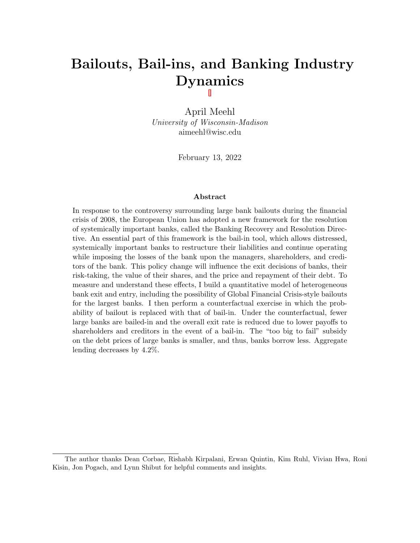# Bailouts, Bail-ins, and Banking Industry Dynamics

April Meehl University of Wisconsin-Madison aimeehl@wisc.edu

February 13, 2022

#### Abstract

In response to the controversy surrounding large bank bailouts during the financial crisis of 2008, the European Union has adopted a new framework for the resolution of systemically important banks, called the Banking Recovery and Resolution Directive. An essential part of this framework is the bail-in tool, which allows distressed, systemically important banks to restructure their liabilities and continue operating while imposing the losses of the bank upon the managers, shareholders, and creditors of the bank. This policy change will influence the exit decisions of banks, their risk-taking, the value of their shares, and the price and repayment of their debt. To measure and understand these effects, I build a quantitative model of heterogeneous bank exit and entry, including the possibility of Global Financial Crisis-style bailouts for the largest banks. I then perform a counterfactual exercise in which the probability of bailout is replaced with that of bail-in. Under the counterfactual, fewer large banks are bailed-in and the overall exit rate is reduced due to lower payoffs to shareholders and creditors in the event of a bail-in. The "too big to fail" subsidy on the debt prices of large banks is smaller, and thus, banks borrow less. Aggregate lending decreases by 4.2%.

The author thanks Dean Corbae, Rishabh Kirpalani, Erwan Quintin, Kim Ruhl, Vivian Hwa, Roni Kisin, Jon Pogach, and Lynn Shibut for helpful comments and insights.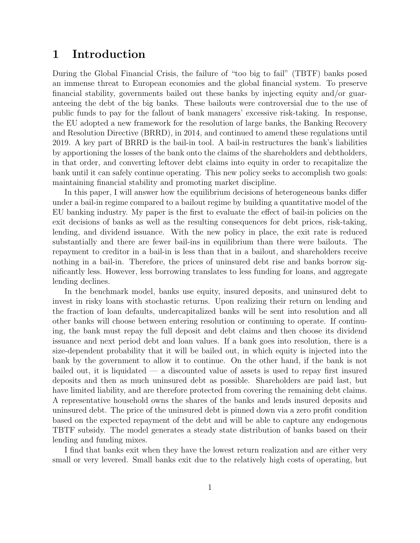# 1 Introduction

During the Global Financial Crisis, the failure of "too big to fail" (TBTF) banks posed an immense threat to European economies and the global financial system. To preserve financial stability, governments bailed out these banks by injecting equity and/or guaranteeing the debt of the big banks. These bailouts were controversial due to the use of public funds to pay for the fallout of bank managers' excessive risk-taking. In response, the EU adopted a new framework for the resolution of large banks, the Banking Recovery and Resolution Directive (BRRD), in 2014, and continued to amend these regulations until 2019. A key part of BRRD is the bail-in tool. A bail-in restructures the bank's liabilities by apportioning the losses of the bank onto the claims of the shareholders and debtholders, in that order, and converting leftover debt claims into equity in order to recapitalize the bank until it can safely continue operating. This new policy seeks to accomplish two goals: maintaining financial stability and promoting market discipline.

In this paper, I will answer how the equilibrium decisions of heterogeneous banks differ under a bail-in regime compared to a bailout regime by building a quantitative model of the EU banking industry. My paper is the first to evaluate the effect of bail-in policies on the exit decisions of banks as well as the resulting consequences for debt prices, risk-taking, lending, and dividend issuance. With the new policy in place, the exit rate is reduced substantially and there are fewer bail-ins in equilibrium than there were bailouts. The repayment to creditor in a bail-in is less than that in a bailout, and shareholders receive nothing in a bail-in. Therefore, the prices of uninsured debt rise and banks borrow significantly less. However, less borrowing translates to less funding for loans, and aggregate lending declines.

In the benchmark model, banks use equity, insured deposits, and uninsured debt to invest in risky loans with stochastic returns. Upon realizing their return on lending and the fraction of loan defaults, undercapitalized banks will be sent into resolution and all other banks will choose between entering resolution or continuing to operate. If continuing, the bank must repay the full deposit and debt claims and then choose its dividend issuance and next period debt and loan values. If a bank goes into resolution, there is a size-dependent probability that it will be bailed out, in which equity is injected into the bank by the government to allow it to continue. On the other hand, if the bank is not bailed out, it is liquidated — a discounted value of assets is used to repay first insured deposits and then as much uninsured debt as possible. Shareholders are paid last, but have limited liability, and are therefore protected from covering the remaining debt claims. A representative household owns the shares of the banks and lends insured deposits and uninsured debt. The price of the uninsured debt is pinned down via a zero profit condition based on the expected repayment of the debt and will be able to capture any endogenous TBTF subsidy. The model generates a steady state distribution of banks based on their lending and funding mixes.

I find that banks exit when they have the lowest return realization and are either very small or very levered. Small banks exit due to the relatively high costs of operating, but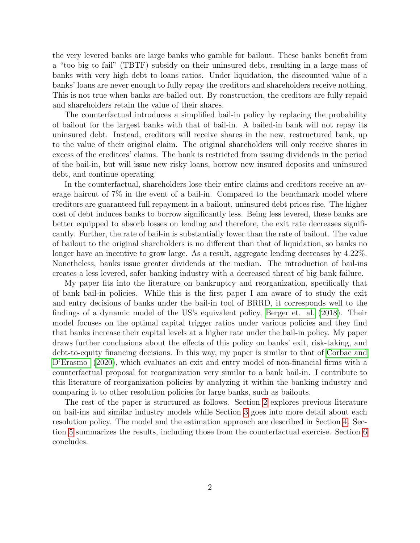the very levered banks are large banks who gamble for bailout. These banks benefit from a "too big to fail" (TBTF) subsidy on their uninsured debt, resulting in a large mass of banks with very high debt to loans ratios. Under liquidation, the discounted value of a banks' loans are never enough to fully repay the creditors and shareholders receive nothing. This is not true when banks are bailed out. By construction, the creditors are fully repaid and shareholders retain the value of their shares.

The counterfactual introduces a simplified bail-in policy by replacing the probability of bailout for the largest banks with that of bail-in. A bailed-in bank will not repay its uninsured debt. Instead, creditors will receive shares in the new, restructured bank, up to the value of their original claim. The original shareholders will only receive shares in excess of the creditors' claims. The bank is restricted from issuing dividends in the period of the bail-in, but will issue new risky loans, borrow new insured deposits and uninsured debt, and continue operating.

In the counterfactual, shareholders lose their entire claims and creditors receive an average haircut of 7% in the event of a bail-in. Compared to the benchmark model where creditors are guaranteed full repayment in a bailout, uninsured debt prices rise. The higher cost of debt induces banks to borrow significantly less. Being less levered, these banks are better equipped to absorb losses on lending and therefore, the exit rate decreases significantly. Further, the rate of bail-in is substantially lower than the rate of bailout. The value of bailout to the original shareholders is no different than that of liquidation, so banks no longer have an incentive to grow large. As a result, aggregate lending decreases by 4.22%. Nonetheless, banks issue greater dividends at the median. The introduction of bail-ins creates a less levered, safer banking industry with a decreased threat of big bank failure.

My paper fits into the literature on bankruptcy and reorganization, specifically that of bank bail-in policies. While this is the first paper I am aware of to study the exit and entry decisions of banks under the bail-in tool of BRRD, it corresponds well to the findings of a dynamic model of the US's equivalent policy, [Berger et. al. \(2018\)](#page-24-0). Their model focuses on the optimal capital trigger ratios under various policies and they find that banks increase their capital levels at a higher rate under the bail-in policy. My paper draws further conclusions about the effects of this policy on banks' exit, risk-taking, and debt-to-equity financing decisions. In this way, my paper is similar to that of [Corbae and](#page-24-1) [D'Erasmo \(2020\)](#page-24-1), which evaluates an exit and entry model of non-financial firms with a counterfactual proposal for reorganization very similar to a bank bail-in. I contribute to this literature of reorganization policies by analyzing it within the banking industry and comparing it to other resolution policies for large banks, such as bailouts.

The rest of the paper is structured as follows. Section [2](#page-3-0) explores previous literature on bail-ins and similar industry models while Section [3](#page-4-0) goes into more detail about each resolution policy. The model and the estimation approach are described in Section [4.](#page-6-0) Section [5](#page-15-0) summarizes the results, including those from the counterfactual exercise. Section [6](#page-22-0) concludes.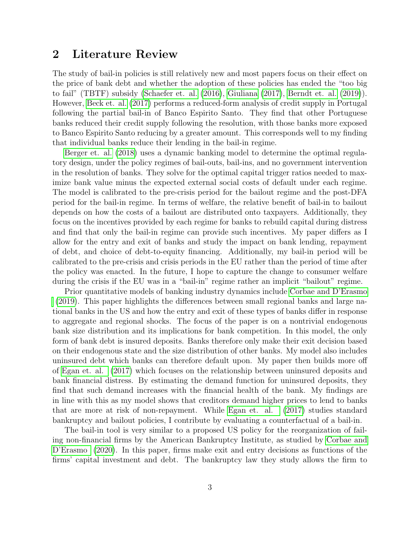# <span id="page-3-0"></span>2 Literature Review

The study of bail-in policies is still relatively new and most papers focus on their effect on the price of bank debt and whether the adoption of these policies has ended the "too big to fail" (TBTF) subsidy [\(Schaefer et. al. \(2016\)](#page-24-2), [Giuliana \(2017\)](#page-24-3), [Berndt et. al. \(2019\)](#page-24-4)). However, [Beck et. al. \(2017\)](#page-24-5) performs a reduced-form analysis of credit supply in Portugal following the partial bail-in of Banco Espirito Santo. They find that other Portuguese banks reduced their credit supply following the resolution, with those banks more exposed to Banco Espirito Santo reducing by a greater amount. This corresponds well to my finding that individual banks reduce their lending in the bail-in regime.

[Berger et. al. \(2018\)](#page-24-0) uses a dynamic banking model to determine the optimal regulatory design, under the policy regimes of bail-outs, bail-ins, and no government intervention in the resolution of banks. They solve for the optimal capital trigger ratios needed to maximize bank value minus the expected external social costs of default under each regime. The model is calibrated to the pre-crisis period for the bailout regime and the post-DFA period for the bail-in regime. In terms of welfare, the relative benefit of bail-in to bailout depends on how the costs of a bailout are distributed onto taxpayers. Additionally, they focus on the incentives provided by each regime for banks to rebuild capital during distress and find that only the bail-in regime can provide such incentives. My paper differs as I allow for the entry and exit of banks and study the impact on bank lending, repayment of debt, and choice of debt-to-equity financing. Additionally, my bail-in period will be calibrated to the pre-crisis and crisis periods in the EU rather than the period of time after the policy was enacted. In the future, I hope to capture the change to consumer welfare during the crisis if the EU was in a "bail-in" regime rather an implicit "bailout" regime.

Prior quantitative models of banking industry dynamics include [Corbae and D'Erasmo](#page-24-6) [\(2019\)](#page-24-6). This paper highlights the differences between small regional banks and large national banks in the US and how the entry and exit of these types of banks differ in response to aggregate and regional shocks. The focus of the paper is on a nontrivial endogenous bank size distribution and its implications for bank competition. In this model, the only form of bank debt is insured deposits. Banks therefore only make their exit decision based on their endogenous state and the size distribution of other banks. My model also includes uninsured debt which banks can therefore default upon. My paper then builds more off of [Egan et. al. \(2017\)](#page-24-7) which focuses on the relationship between uninsured deposits and bank financial distress. By estimating the demand function for uninsured deposits, they find that such demand increases with the financial health of the bank. My findings are in line with this as my model shows that creditors demand higher prices to lend to banks that are more at risk of non-repayment. While [Egan et. al. \(2017\)](#page-24-7) studies standard bankruptcy and bailout policies, I contribute by evaluating a counterfactual of a bail-in.

The bail-in tool is very similar to a proposed US policy for the reorganization of failing non-financial firms by the American Bankruptcy Institute, as studied by [Corbae and](#page-24-1) [D'Erasmo \(2020\)](#page-24-1). In this paper, firms make exit and entry decisions as functions of the firms' capital investment and debt. The bankruptcy law they study allows the firm to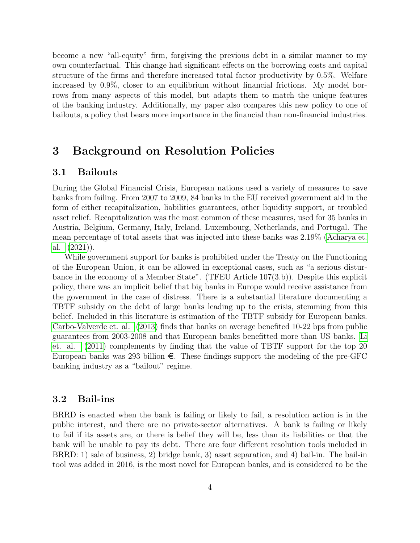become a new "all-equity" firm, forgiving the previous debt in a similar manner to my own counterfactual. This change had significant effects on the borrowing costs and capital structure of the firms and therefore increased total factor productivity by 0.5%. Welfare increased by 0.9%, closer to an equilibrium without financial frictions. My model borrows from many aspects of this model, but adapts them to match the unique features of the banking industry. Additionally, my paper also compares this new policy to one of bailouts, a policy that bears more importance in the financial than non-financial industries.

# <span id="page-4-0"></span>3 Background on Resolution Policies

#### 3.1 Bailouts

During the Global Financial Crisis, European nations used a variety of measures to save banks from failing. From 2007 to 2009, 84 banks in the EU received government aid in the form of either recapitalization, liabilities guarantees, other liquidity support, or troubled asset relief. Recapitalization was the most common of these measures, used for 35 banks in Austria, Belgium, Germany, Italy, Ireland, Luxembourg, Netherlands, and Portugal. The mean percentage of total assets that was injected into these banks was 2.19% [\(Acharya et.](#page-24-8) [al. \(2021\)](#page-24-8)).

While government support for banks is prohibited under the Treaty on the Functioning of the European Union, it can be allowed in exceptional cases, such as "a serious disturbance in the economy of a Member State". (TFEU Article 107(3.b)). Despite this explicit policy, there was an implicit belief that big banks in Europe would receive assistance from the government in the case of distress. There is a substantial literature documenting a TBTF subsidy on the debt of large banks leading up to the crisis, stemming from this belief. Included in this literature is estimation of the TBTF subsidy for European banks. [Carbo-Valverde et. al. \(2013\)](#page-24-9) finds that banks on average benefited 10-22 bps from public guarantees from 2003-2008 and that European banks benefitted more than US banks. [Li](#page-24-10) [et. al. \(2011\)](#page-24-10) complements by finding that the value of TBTF support for the top 20 European banks was 293 billion  $\epsilon$ . These findings support the modeling of the pre-GFC banking industry as a "bailout" regime.

### 3.2 Bail-ins

BRRD is enacted when the bank is failing or likely to fail, a resolution action is in the public interest, and there are no private-sector alternatives. A bank is failing or likely to fail if its assets are, or there is belief they will be, less than its liabilities or that the bank will be unable to pay its debt. There are four different resolution tools included in BRRD: 1) sale of business, 2) bridge bank, 3) asset separation, and 4) bail-in. The bail-in tool was added in 2016, is the most novel for European banks, and is considered to be the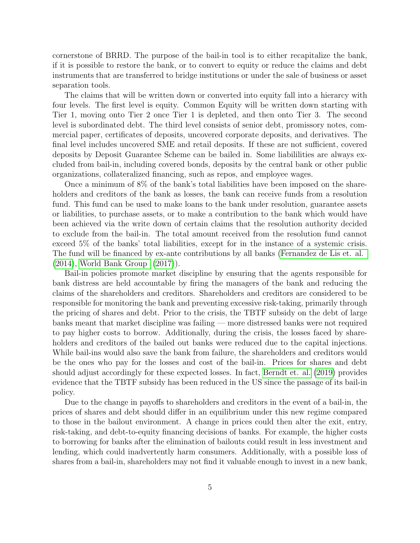cornerstone of BRRD. The purpose of the bail-in tool is to either recapitalize the bank, if it is possible to restore the bank, or to convert to equity or reduce the claims and debt instruments that are transferred to bridge institutions or under the sale of business or asset separation tools.

The claims that will be written down or converted into equity fall into a hierarcy with four levels. The first level is equity. Common Equity will be written down starting with Tier 1, moving onto Tier 2 once Tier 1 is depleted, and then onto Tier 3. The second level is subordinated debt. The third level consists of senior debt, promissory notes, commercial paper, certificates of deposits, uncovered corporate deposits, and derivatives. The final level includes uncovered SME and retail deposits. If these are not sufficient, covered deposits by Deposit Guarantee Scheme can be bailed in. Some liabililities are always excluded from bail-in, including covered bonds, deposits by the central bank or other public organizations, collateralized financing, such as repos, and employee wages.

Once a minimum of 8% of the bank's total liabilities have been imposed on the shareholders and creditors of the bank as losses, the bank can receive funds from a resolution fund. This fund can be used to make loans to the bank under resolution, guarantee assets or liabilities, to purchase assets, or to make a contribution to the bank which would have been achieved via the write down of certain claims that the resolution authority decided to exclude from the bail-in. The total amount received from the resolution fund cannot exceed 5% of the banks' total liabilities, except for in the instance of a systemic crisis. The fund will be financed by ex-ante contributions by all banks [\(Fernandez de Lis et. al.](#page-24-11) [\(2014\)](#page-24-11), [World Bank Group \(2017\)](#page-24-12)).

Bail-in policies promote market discipline by ensuring that the agents responsible for bank distress are held accountable by firing the managers of the bank and reducing the claims of the shareholders and creditors. Shareholders and creditors are considered to be responsible for monitoring the bank and preventing excessive risk-taking, primarily through the pricing of shares and debt. Prior to the crisis, the TBTF subsidy on the debt of large banks meant that market discipline was failing — more distressed banks were not required to pay higher costs to borrow. Additionally, during the crisis, the losses faced by shareholders and creditors of the bailed out banks were reduced due to the capital injections. While bail-ins would also save the bank from failure, the shareholders and creditors would be the ones who pay for the losses and cost of the bail-in. Prices for shares and debt should adjust accordingly for these expected losses. In fact, [Berndt et. al. \(2019\)](#page-24-4) provides evidence that the TBTF subsidy has been reduced in the US since the passage of its bail-in policy.

Due to the change in payoffs to shareholders and creditors in the event of a bail-in, the prices of shares and debt should differ in an equilibrium under this new regime compared to those in the bailout environment. A change in prices could then alter the exit, entry, risk-taking, and debt-to-equity financing decisions of banks. For example, the higher costs to borrowing for banks after the elimination of bailouts could result in less investment and lending, which could inadvertently harm consumers. Additionally, with a possible loss of shares from a bail-in, shareholders may not find it valuable enough to invest in a new bank,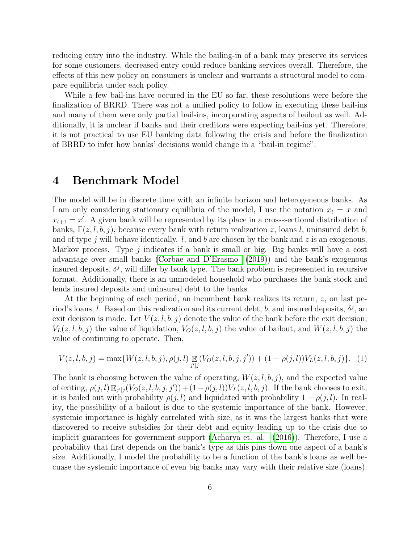reducing entry into the industry. While the bailing-in of a bank may preserve its services for some customers, decreased entry could reduce banking services overall. Therefore, the effects of this new policy on consumers is unclear and warrants a structural model to compare equilibria under each policy.

While a few bail-ins have occured in the EU so far, these resolutions were before the finalization of BRRD. There was not a unified policy to follow in executing these bail-ins and many of them were only partial bail-ins, incorporating aspects of bailout as well. Additionally, it is unclear if banks and their creditors were expecting bail-ins yet. Therefore, it is not practical to use EU banking data following the crisis and before the finalization of BRRD to infer how banks' decisions would change in a "bail-in regime".

## <span id="page-6-0"></span>4 Benchmark Model

The model will be in discrete time with an infinite horizon and heterogeneous banks. As I am only considering stationary equilibria of the model, I use the notation  $x_t = x$  and  $x_{t+1} = x'$ . A given bank will be represented by its place in a cross-sectional distribution of banks,  $\Gamma(z, l, b, j)$ , because every bank with return realization z, loans l, uninsured debt b, and of type j will behave identically.  $l$ , and  $b$  are chosen by the bank and  $z$  is an exogenous, Markov process. Type j indicates if a bank is small or big. Big banks will have a cost advantage over small banks [\(Corbae and D'Erasmo \(2019\)](#page-24-6)) and the bank's exogenous insured deposits,  $\delta^j$ , will differ by bank type. The bank problem is represented in recursive format. Additionally, there is an unmodeled household who purchases the bank stock and lends insured deposits and uninsured debt to the banks.

At the beginning of each period, an incumbent bank realizes its return, z, on last period's loans, l. Based on this realization and its current debt, b, and insured deposits,  $\delta^j$ , and exit decision is made. Let  $V(z, l, b, j)$  denote the value of the bank before the exit decision,  $V_L(z, l, b, j)$  the value of liquidation,  $V_O(z, l, b, j)$  the value of bailout, and  $W(z, l, b, j)$  the value of continuing to operate. Then,

<span id="page-6-1"></span>
$$
V(z, l, b, j) = \max\{W(z, l, b, j), \rho(j, l)\mathop{\mathbb{E}}_{j'|j}(V_O(z, l, b, j, j')) + (1 - \rho(j, l))V_L(z, l, b, j)\}.
$$
 (1)

The bank is choosing between the value of operating,  $W(z, l, b, j)$ , and the expected value of exiting,  $\rho(j, l) \mathbb{E}_{j'|j}(V_O(z, l, b, j, j')) + (1 - \rho(j, l))V_L(z, l, b, j)$ . If the bank chooses to exit, it is bailed out with probability  $\rho(j, l)$  and liquidated with probability  $1 - \rho(j, l)$ . In reality, the possibility of a bailout is due to the systemic importance of the bank. However, systemic importance is highly correlated with size, as it was the largest banks that were discovered to receive subsidies for their debt and equity leading up to the crisis due to implicit guarantees for government support [\(Acharya et. al. \(2016\)](#page-24-13)). Therefore, I use a probability that first depends on the bank's type as this pins down one aspect of a bank's size. Additionally, I model the probability to be a function of the bank's loans as well becuase the systemic importance of even big banks may vary with their relative size (loans).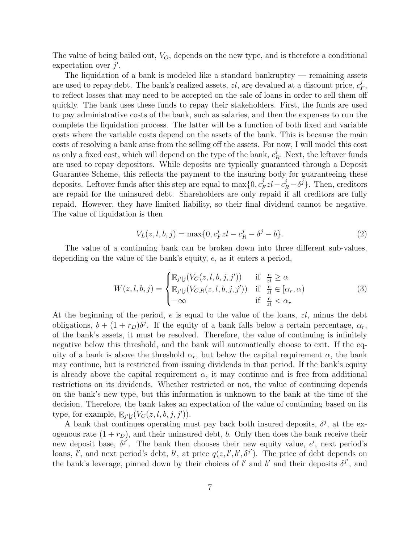The value of being bailed out,  $V_O$ , depends on the new type, and is therefore a conditional expectation over  $j'$ .

The liquidation of a bank is modeled like a standard bankruptcy — remaining assets are used to repay debt. The bank's realized assets,  $zl$ , are devalued at a discount price,  $c_l^j$  $_{F}^{\jmath},$ to reflect losses that may need to be accepted on the sale of loans in order to sell them off quickly. The bank uses these funds to repay their stakeholders. First, the funds are used to pay administrative costs of the bank, such as salaries, and then the expenses to run the complete the liquidation process. The latter will be a function of both fixed and variable costs where the variable costs depend on the assets of the bank. This is because the main costs of resolving a bank arise from the selling off the assets. For now, I will model this cost as only a fixed cost, which will depend on the type of the bank,  $c_l^j$  $R_R^j$ . Next, the leftover funds are used to repay depositors. While deposits are typically guaranteed through a Deposit Guarantee Scheme, this reflects the payment to the insuring body for guaranteeing these deposits. Leftover funds after this step are equal to  $\max\{0, c_i^j\}$  $j_F^j z l - c_R^j - \delta^j$ . Then, creditors are repaid for the uninsured debt. Shareholders are only repaid if all creditors are fully repaid. However, they have limited liability, so their final dividend cannot be negative. The value of liquidation is then

<span id="page-7-1"></span>
$$
V_L(z, l, b, j) = \max\{0, c_F^j z l - c_R^j - \delta^j - b\}.
$$
\n(2)

The value of a continuing bank can be broken down into three different sub-values, depending on the value of the bank's equity, e, as it enters a period,

<span id="page-7-0"></span>
$$
W(z, l, b, j) = \begin{cases} \mathbb{E}_{j'|j}(V_C(z, l, b, j, j')) & \text{if } \frac{e}{z\bar{l}} \ge \alpha \\ \mathbb{E}_{j'|j}(V_{C,R}(z, l, b, j, j')) & \text{if } \frac{e}{z\bar{l}} \in [\alpha_r, \alpha) \\ -\infty & \text{if } \frac{e}{z\bar{l}} < \alpha_r \end{cases}
$$
(3)

At the beginning of the period,  $e$  is equal to the value of the loans,  $zl$ , minus the debt obligations,  $b + (1 + r_D)\delta^j$ . If the equity of a bank falls below a certain percentage,  $\alpha_r$ , of the bank's assets, it must be resolved. Therefore, the value of continuing is infinitely negative below this threshold, and the bank will automatically choose to exit. If the equity of a bank is above the threshold  $\alpha_r$ , but below the capital requirement  $\alpha$ , the bank may continue, but is restricted from issuing dividends in that period. If the bank's equity is already above the capital requirement  $\alpha$ , it may continue and is free from additional restrictions on its dividends. Whether restricted or not, the value of continuing depends on the bank's new type, but this information is unknown to the bank at the time of the decision. Therefore, the bank takes an expectation of the value of continuing based on its type, for example,  $\mathbb{E}_{j'|j}(V_C(z, l, b, j, j')).$ 

A bank that continues operating must pay back both insured deposits,  $\delta^j$ , at the exogenous rate  $(1 + r_D)$ , and their uninsured debt, b. Only then does the bank receive their new deposit base,  $\delta^{j'}$ . The bank then chooses their new equity value, e', next period's loans, l', and next period's debt, b', at price  $q(z, l', b', \delta^{j'})$ . The price of debt depends on the bank's leverage, pinned down by their choices of l' and b' and their deposits  $\delta^{j'}$ , and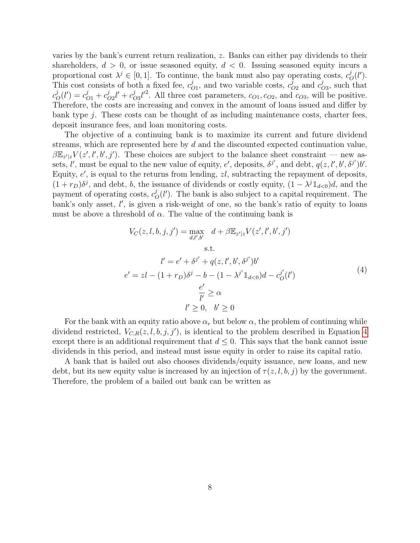varies by the bank's current return realization, z. Banks can either pay dividends to their shareholders,  $d > 0$ , or issue seasoned equity,  $d < 0$ . Issuing seasoned equity incurs a proportional cost  $\lambda^j \in [0,1]$ . To continue, the bank must also pay operating costs,  $c^j$  $_{O}^{j}(l^{\prime}).$ This cost consists of both a fixed fee,  $c_0^j$  $\chi_{O1}^j$ , and two variable costs,  $c_C^j$  $_{O2}^{j}$  and  $c_{O}^{j}$  $\chi^j_{O3}$ , such that c j  $\dot{c}_O^{j}(l') = c_{O1}^{j} + c_{O}^{j}$  $^{j}_{O2}l' + c_{O}^{j}$  $\int_{O3}^{j} l'^2$ . All three cost parameters,  $c_{O1}, c_{O2}$ , and  $c_{O3}$ , will be positive. Therefore, the costs are increasing and convex in the amount of loans issued and differ by bank type  $j$ . These costs can be thought of as including maintenance costs, charter fees, deposit insurance fees, and loan monitoring costs.

The objective of a continuing bank is to maximize its current and future dividend streams, which are represented here by d and the discounted expected continuation value,  $\beta \mathbb{E}_{z'|z} V(z', l', b', j')$ . These choices are subject to the balance sheet constraint — new assets, *l'*, must be equal to the new value of equity, *e'*, deposits,  $\delta^{j'}$ , and debt,  $q(z, l', b', \delta^{j'})b'$ . Equity,  $e'$ , is equal to the returns from lending,  $zl$ , subtracting the repayment of deposits,  $(1 + r_D)\delta^j$ , and debt, b, the issuance of dividends or costly equity,  $(1 - \lambda^j \mathbb{1}_{d<0})d$ , and the payment of operating costs,  $c_q^j$  $\mathcal{O}_O(l')$ . The bank is also subject to a capital requirement. The bank's only asset, l', is given a risk-weight of one, so the bank's ratio of equity to loans must be above a threshold of  $\alpha$ . The value of the continuing bank is

<span id="page-8-0"></span>
$$
V_C(z, l, b, j, j') = \max_{d, l', b'} d + \beta \mathbb{E}_{z'|z} V(z', l', b', j')
$$
  
s.t.  

$$
l' = e' + \delta^{j'} + q(z, l', b', \delta^{j'})b'
$$

$$
e' = zl - (1 + r_D)\delta^j - b - (1 - \lambda^{j'} \mathbb{1}_{d < 0})d - c_0^{j'}(l')
$$

$$
\frac{e'}{l'} \ge \alpha
$$

$$
l' \ge 0, \quad b' \ge 0
$$

For the bank with an equity ratio above  $\alpha_r$  but below  $\alpha$ , the problem of continuing while dividend restricted,  $V_{C,R}(z, l, b, j, j')$ , is identical to the problem described in Equation [4](#page-8-0) except there is an additional requirement that  $d \leq 0$ . This says that the bank cannot issue dividends in this period, and instead must issue equity in order to raise its capital ratio.

A bank that is bailed out also chooses dividends/equity issuance, new loans, and new debt, but its new equity value is increased by an injection of  $\tau(z, l, b, j)$  by the government. Therefore, the problem of a bailed out bank can be written as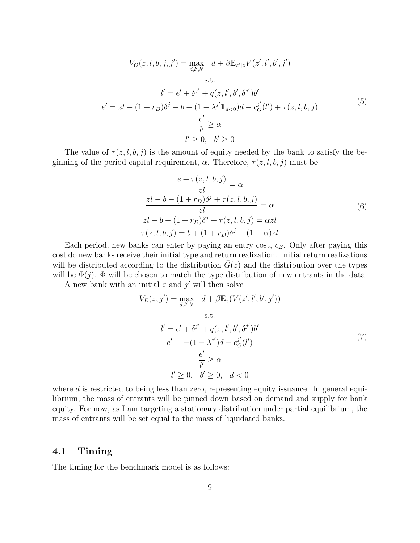$$
V_O(z, l, b, j, j') = \max_{d, l', b'} d + \beta \mathbb{E}_{z'|z} V(z', l', b', j')
$$
  
s.t.  

$$
l' = e' + \delta^{j'} + q(z, l', b', \delta^{j'})b'
$$

$$
e' = zl - (1 + r_D)\delta^j - b - (1 - \lambda^{j'} \mathbb{1}_{d<0})d - c_0^{j'}(l') + \tau(z, l, b, j)
$$

$$
\frac{e'}{l'} \ge \alpha
$$

$$
l' \ge 0, \quad b' \ge 0
$$

$$
(5)
$$

The value of  $\tau(z, l, b, j)$  is the amount of equity needed by the bank to satisfy the beginning of the period capital requirement,  $\alpha$ . Therefore,  $\tau(z, l, b, j)$  must be

$$
\frac{e + \tau(z, l, b, j)}{z l} = \alpha
$$
  

$$
\frac{z l - b - (1 + r_D)\delta^j + \tau(z, l, b, j)}{z l} = \alpha
$$
  

$$
z l - b - (1 + r_D)\delta^j + \tau(z, l, b, j) = \alpha z l
$$
  

$$
\tau(z, l, b, j) = b + (1 + r_D)\delta^j - (1 - \alpha) z l
$$
  
(6)

Each period, new banks can enter by paying an entry cost,  $c_E$ . Only after paying this cost do new banks receive their initial type and return realization. Initial return realizations will be distributed according to the distribution  $\overline{G}(z)$  and the distribution over the types will be  $\Phi(j)$ .  $\Phi$  will be chosen to match the type distribution of new entrants in the data.

A new bank with an initial  $z$  and  $j'$  will then solve

$$
V_E(z, j') = \max_{d,l',b'} d + \beta \mathbb{E}_z (V(z', l', b', j'))
$$
  
s.t.  

$$
l' = e' + \delta^{j'} + q(z, l', b', \delta^{j'})b'
$$

$$
e' = -(1 - \lambda^{j'})d - c_0^{j'}(l')
$$

$$
\frac{e'}{l'} \ge \alpha
$$

$$
l' \ge 0, \quad b' \ge 0, \quad d < 0
$$

where  $d$  is restricted to being less than zero, representing equity issuance. In general equilibrium, the mass of entrants will be pinned down based on demand and supply for bank equity. For now, as I am targeting a stationary distribution under partial equilibrium, the mass of entrants will be set equal to the mass of liquidated banks.

### 4.1 Timing

The timing for the benchmark model is as follows: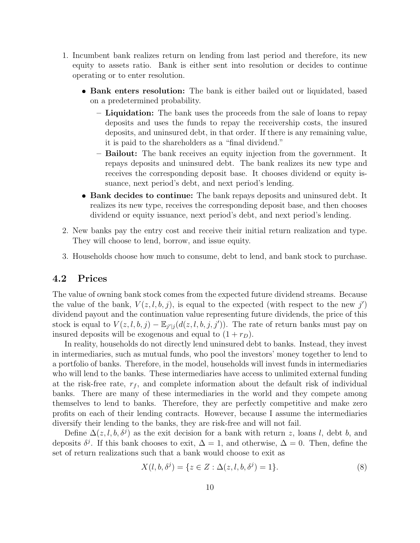- 1. Incumbent bank realizes return on lending from last period and therefore, its new equity to assets ratio. Bank is either sent into resolution or decides to continue operating or to enter resolution.
	- Bank enters resolution: The bank is either bailed out or liquidated, based on a predetermined probability.
		- Liquidation: The bank uses the proceeds from the sale of loans to repay deposits and uses the funds to repay the receivership costs, the insured deposits, and uninsured debt, in that order. If there is any remaining value, it is paid to the shareholders as a "final dividend."
		- Bailout: The bank receives an equity injection from the government. It repays deposits and uninsured debt. The bank realizes its new type and receives the corresponding deposit base. It chooses dividend or equity issuance, next period's debt, and next period's lending.
	- Bank decides to continue: The bank repays deposits and uninsured debt. It realizes its new type, receives the corresponding deposit base, and then chooses dividend or equity issuance, next period's debt, and next period's lending.
- 2. New banks pay the entry cost and receive their initial return realization and type. They will choose to lend, borrow, and issue equity.
- 3. Households choose how much to consume, debt to lend, and bank stock to purchase.

### 4.2 Prices

The value of owning bank stock comes from the expected future dividend streams. Because the value of the bank,  $V(z, l, b, j)$ , is equal to the expected (with respect to the new j') dividend payout and the continuation value representing future dividends, the price of this stock is equal to  $V(z, l, b, j) - \mathbb{E}_{j'|j}(d(z, l, b, j, j'))$ . The rate of return banks must pay on insured deposits will be exogenous and equal to  $(1 + r_D)$ .

In reality, households do not directly lend uninsured debt to banks. Instead, they invest in intermediaries, such as mutual funds, who pool the investors' money together to lend to a portfolio of banks. Therefore, in the model, households will invest funds in intermediaries who will lend to the banks. These intermediaries have access to unlimited external funding at the risk-free rate,  $r_f$ , and complete information about the default risk of individual banks. There are many of these intermediaries in the world and they compete among themselves to lend to banks. Therefore, they are perfectly competitive and make zero profits on each of their lending contracts. However, because I assume the intermediaries diversify their lending to the banks, they are risk-free and will not fail.

Define  $\Delta(z, l, b, \delta^j)$  as the exit decision for a bank with return z, loans l, debt b, and deposits  $\delta^j$ . If this bank chooses to exit,  $\Delta = 1$ , and otherwise,  $\Delta = 0$ . Then, define the set of return realizations such that a bank would choose to exit as

$$
X(l, b, \delta^{j}) = \{ z \in Z : \Delta(z, l, b, \delta^{j}) = 1 \}.
$$
\n(8)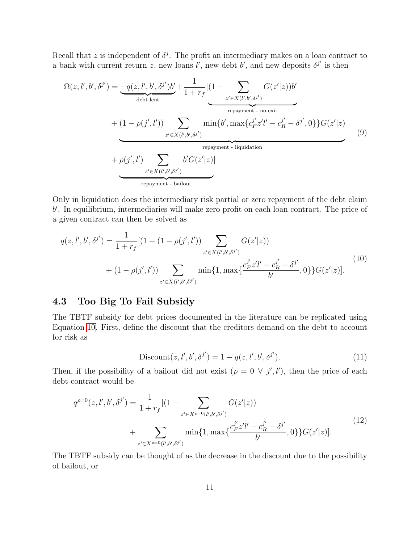Recall that z is independent of  $\delta^j$ . The profit an intermediary makes on a loan contract to a bank with current return z, new loans l', new debt b', and new deposits  $\delta^{j'}$  is then

$$
\Omega(z, l', b', \delta^{j'}) = -q(z, l', b', \delta^{j'})b' + \frac{1}{1+r_f}[(1-\sum_{z'\in X(l',b',\delta^{j'})} G(z'|z))b'
$$
  
\n
$$
+ (1-\rho(j', l'))\sum_{z'\in X(l',b',\delta^{j'})}\min\{b', \max\{c_{F}^{j'}z'l' - c_{R}^{j'} - \delta^{j'}, 0\}\}G(z'|z)
$$
  
\n
$$
+ \rho(j', l')\sum_{z'\in X(l',b',\delta^{j'})}\n \text{repayment - liquidation}
$$
  
\n
$$
+ \rho(j', l')\sum_{z'\in X(l',b',\delta^{j'})}\n \text{repayment - bailout}
$$
\n(9)

Only in liquidation does the intermediary risk partial or zero repayment of the debt claim b 0 . In equilibrium, intermediaries will make zero profit on each loan contract. The price of a given contract can then be solved as

<span id="page-11-0"></span>
$$
q(z, l', b', \delta^{j'}) = \frac{1}{1 + r_f} [(1 - (1 - \rho(j', l')) \sum_{z' \in X(l', b', \delta^{j'})} G(z'|z))
$$
  
+ 
$$
(1 - \rho(j', l')) \sum_{z' \in X(l', b', \delta^{j'})} \min\{1, \max\{\frac{c_{F}^{j'} z'l' - c_{R}^{j'} - \delta^{j'}}{b'}, 0\}\} G(z'|z)].
$$
 (10)

# 4.3 Too Big To Fail Subsidy

The TBTF subsidy for debt prices documented in the literature can be replicated using Equation [10.](#page-11-0) First, define the discount that the creditors demand on the debt to account for risk as

$$
Discount(z, l', b', \delta^{j'}) = 1 - q(z, l', b', \delta^{j'}).
$$
\n(11)

Then, if the possibility of a bailout did not exist  $(\rho = 0 \ \forall \ j', l')$ , then the price of each debt contract would be

$$
q^{\rho=0}(z, l', b', \delta^{j'}) = \frac{1}{1+r_f} [(1-\sum_{z' \in X^{\rho=0}(l', b', \delta^{j'})} G(z'|z)) + \sum_{z' \in X^{\rho=0}(l', b', \delta^{j'})} \min\{1, \max\{\frac{c_p^{j'} z'l' - c_R^{j'} - \delta^{j'}}{b'}, 0\}\} G(z'|z)].
$$
\n(12)

The TBTF subsidy can be thought of as the decrease in the discount due to the possibility of bailout, or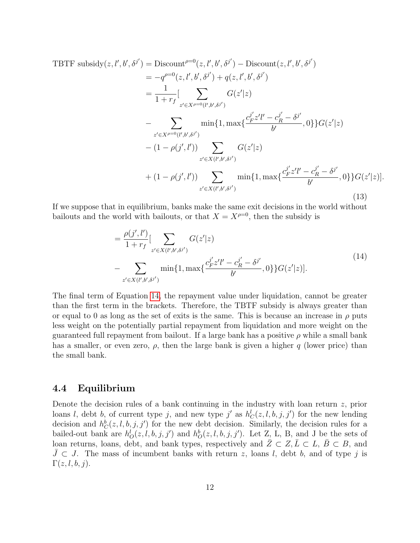<span id="page-12-1"></span>TBTF subsidy(z, l', b', \delta^{j'}) = Discount<sup>ρ=0</sup>(z, l', b', \delta^{j'}) - Discount(z, l', b', \delta^{j'})  
\n
$$
= -q^{\rho=0}(z, l', b', \delta^{j'}) + q(z, l', b, \delta^{j'})
$$
\n
$$
= \frac{1}{1+r_f} [\sum_{z' \in X^{\rho=0}(l', b', \delta^{j'})} G(z'|z)
$$
\n
$$
- \sum_{z' \in X^{\rho=0}(l', b', \delta^{j'})} min\{1, max\{\frac{c_{F}^{j'} z'l' - c_{R}^{j'} - \delta^{j'}}{b'}, 0\}\} G(z'|z)
$$
\n
$$
- (1 - \rho(j', l')) \sum_{z' \in X(l', b', \delta^{j'})} G(z'|z)
$$
\n
$$
+ (1 - \rho(j', l')) \sum_{z' \in X(l', b', \delta^{j'})} min\{1, max\{\frac{c_{F}^{j'} z'l' - c_{R}^{j'} - \delta^{j'}}{b'}, 0\}\} G(z'|z)].
$$
\n(13)

If we suppose that in equilibrium, banks make the same exit decisions in the world without bailouts and the world with bailouts, or that  $X = X^{\rho=0}$ , then the subsidy is

<span id="page-12-0"></span>
$$
= \frac{\rho(j',l')}{1+r_f} \left[ \sum_{z' \in X(l',b',\delta^{j'})} G(z'|z) - \sum_{z' \in X(l',b',\delta^{j'})} \min\{1, \max\{\frac{c_{F}^{j'} z'l' - c_{R}^{j'} - \delta^{j'}}{b'}, 0\}\} G(z'|z) \right].
$$
\n(14)

The final term of Equation [14,](#page-12-0) the repayment value under liquidation, cannot be greater than the first term in the brackets. Therefore, the TBTF subsidy is always greater than or equal to 0 as long as the set of exits is the same. This is because an increase in  $\rho$  puts less weight on the potentially partial repayment from liquidation and more weight on the guaranteed full repayment from bailout. If a large bank has a positive  $\rho$  while a small bank has a smaller, or even zero,  $\rho$ , then the large bank is given a higher q (lower price) than the small bank.

#### 4.4 Equilibrium

Denote the decision rules of a bank continuing in the industry with loan return  $z$ , prior loans l, debt b, of current type j, and new type j' as  $h_C^l(z, l, b, j, j')$  for the new lending decision and  $h_C^b(z, l, b, j, j')$  for the new debt decision. Similarly, the decision rules for a bailed-out bank are  $h_0^l(z, l, b, j, j')$  and  $h_0^b(z, l, b, j, j')$ . Let Z<sub>1</sub>, L, B, and J be the sets of loan returns, loans, debt, and bank types, respectively and  $Z\subset Z, \overline{L}\subset L, \overline{B}\subset B$ , and  $J \subset J$ . The mass of incumbent banks with return z, loans l, debt b, and of type j is  $\Gamma(z, l, b, j).$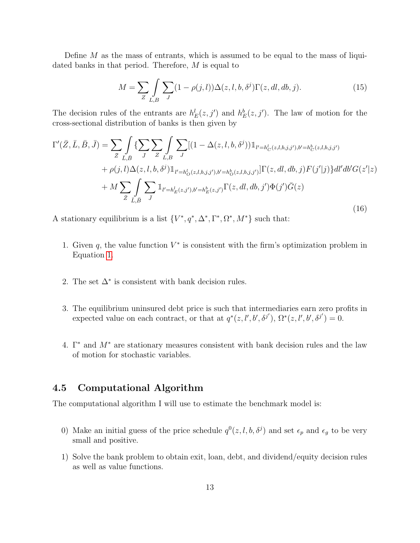Define  $M$  as the mass of entrants, which is assumed to be equal to the mass of liquidated banks in that period. Therefore, M is equal to

<span id="page-13-1"></span>
$$
M = \sum_{Z} \int_{L,B} \sum_{J} (1 - \rho(j,l)) \Delta(z,l,b,\delta^j) \Gamma(z,dl,db,j). \tag{15}
$$

The decision rules of the entrants are  $h_E^l(z, j')$  and  $h_E^b(z, j')$ . The law of motion for the cross-sectional distribution of banks is then given by

<span id="page-13-0"></span>
$$
\Gamma'(\bar{Z}, \bar{L}, \bar{B}, \bar{J}) = \sum_{\bar{Z}} \int_{\bar{L}, \bar{B}} \{ \sum_{\bar{J}} \sum_{Z} \int_{L, B} \sum_{J} [(1 - \Delta(z, l, b, \delta^{j})) \mathbb{1}_{l' = h_C^l(z, l, b, j, j'), b' = h_C^b(z, l, b, j, j')} + \rho(j, l) \Delta(z, l, b, \delta^{j}) \mathbb{1}_{l' = h_O^l(z, l, b, j, j'), b' = h_O^b(z, l, b, j, j')} ] \Gamma(z, dl, db, j) F(j'|j) \} dl' db' G(z'|z) + M \sum_{\bar{Z}} \int_{\bar{L}, \bar{B}} \sum_{J} \mathbb{1}_{l' = h_E^l(z, j'), b' = h_E^b(z, j')} \Gamma(z, dl, db, j') \Phi(j') \bar{G}(z)
$$
\n(16)

A stationary equilibrium is a list  ${V^*, q^*, \Delta^*, \Gamma^*, \Omega^*, M^*}$  such that:

- 1. Given  $q$ , the value function  $V^*$  is consistent with the firm's optimization problem in Equation [1.](#page-6-1)
- 2. The set  $\Delta^*$  is consistent with bank decision rules.
- 3. The equilibrium uninsured debt price is such that intermediaries earn zero profits in expected value on each contract, or that at  $q^*(z, l', b', \delta^{j'})$ ,  $\Omega^*(z, l', b', \delta^{j'}) = 0$ .
- 4. Γ<sup>∗</sup> and M<sup>∗</sup> are stationary measures consistent with bank decision rules and the law of motion for stochastic variables.

### 4.5 Computational Algorithm

The computational algorithm I will use to estimate the benchmark model is:

- 0) Make an initial guess of the price schedule  $q^0(z, l, b, \delta^j)$  and set  $\epsilon_p$  and  $\epsilon_g$  to be very small and positive.
- 1) Solve the bank problem to obtain exit, loan, debt, and dividend/equity decision rules as well as value functions.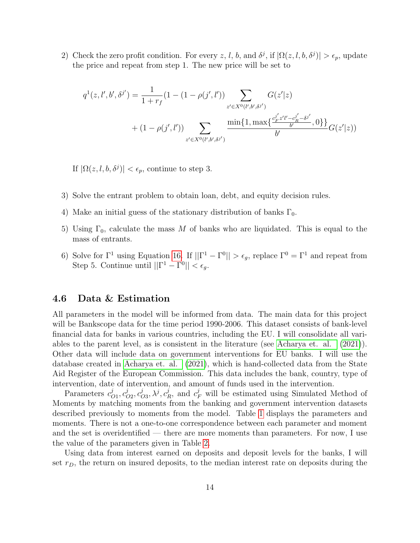2) Check the zero profit condition. For every z, l, b, and  $\delta^j$ , if  $|\Omega(z, l, b, \delta^j)| > \epsilon_p$ , update the price and repeat from step 1. The new price will be set to

$$
q^{1}(z, l', b', \delta^{j'}) = \frac{1}{1+r_{f}}(1 - (1 - \rho(j', l')) \sum_{z' \in X^{0}(l', b', \delta^{j'})} G(z'|z)
$$

$$
+ (1 - \rho(j', l')) \sum_{z' \in X^{0}(l', b', \delta^{j'})} \frac{\min\{1, \max\{\frac{c_{F}^{j'} z'l' - c_{R}^{j'} - \delta^{j'}}{b'} , 0\}\}}{\delta^{j'}} G(z'|z))
$$

If  $|\Omega(z, l, b, \delta^j)| < \epsilon_p$ , continue to step 3.

- 3) Solve the entrant problem to obtain loan, debt, and equity decision rules.
- 4) Make an initial guess of the stationary distribution of banks  $\Gamma_0$ .
- 5) Using  $\Gamma_0$ , calculate the mass M of banks who are liquidated. This is equal to the mass of entrants.
- 6) Solve for  $\Gamma^1$  using Equation [16.](#page-13-0) If  $||\Gamma^1 \Gamma^0|| > \epsilon_g$ , replace  $\Gamma^0 = \Gamma^1$  and repeat from Step 5. Continue until  $||\Gamma^1 - \Gamma^0|| < \epsilon_g$ .

### 4.6 Data & Estimation

All parameters in the model will be informed from data. The main data for this project will be Bankscope data for the time period 1990-2006. This dataset consists of bank-level financial data for banks in various countries, including the EU. I will consolidate all variables to the parent level, as is consistent in the literature (see [Acharya et. al. \(2021\)](#page-24-8)). Other data will include data on government interventions for EU banks. I will use the database created in [Acharya et. al. \(2021\)](#page-24-8), which is hand-collected data from the State Aid Register of the European Commission. This data includes the bank, country, type of intervention, date of intervention, and amount of funds used in the intervention.

Parameters  $c_{\ell}^{j}$  $_{O1}^{j},c_{C}^{j}$  $_{O2}^{j},c_{C}^{j}$  $_{O3}^{j}, \lambda^{j}, c_{I}^{j}$  $\mu_R^j$ , and  $c_F^j$  will be estimated using Simulated Method of Moments by matching moments from the banking and government intervention datasets described previously to moments from the model. Table [1](#page-25-0) displays the parameters and moments. There is not a one-to-one correspondence between each parameter and moment and the set is overidentified — there are more moments than parameters. For now, I use the value of the parameters given in Table [2.](#page-25-1)

Using data from interest earned on deposits and deposit levels for the banks, I will set  $r_D$ , the return on insured deposits, to the median interest rate on deposits during the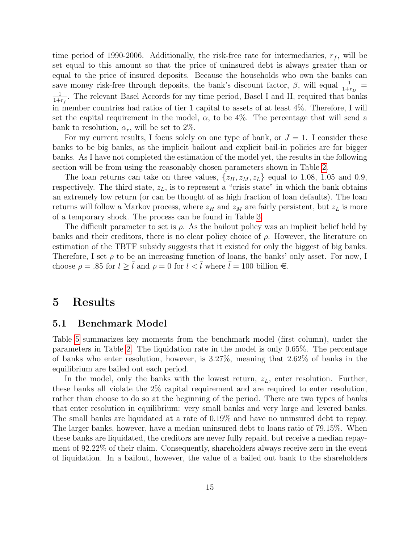time period of 1990-2006. Additionally, the risk-free rate for intermediaries,  $r_f$ , will be set equal to this amount so that the price of uninsured debt is always greater than or equal to the price of insured deposits. Because the households who own the banks can save money risk-free through deposits, the bank's discount factor,  $\beta$ , will equal  $\frac{1}{1+r_D}$ 1  $\frac{1}{1+r_f}$ . The relevant Basel Accords for my time period, Basel I and II, required that banks in member countries had ratios of tier 1 capital to assets of at least 4%. Therefore, I will set the capital requirement in the model,  $\alpha$ , to be 4%. The percentage that will send a bank to resolution,  $\alpha_r$ , will be set to 2%.

For my current results, I focus solely on one type of bank, or  $J = 1$ . I consider these banks to be big banks, as the implicit bailout and explicit bail-in policies are for bigger banks. As I have not completed the estimation of the model yet, the results in the following section will be from using the reasonably chosen parameters shown in Table [2.](#page-25-1)

The loan returns can take on three values,  $\{z_H, z_M, z_L\}$  equal to 1.08, 1.05 and 0.9, respectively. The third state,  $z_L$ , is to represent a "crisis state" in which the bank obtains an extremely low return (or can be thought of as high fraction of loan defaults). The loan returns will follow a Markov process, where  $z_H$  and  $z_M$  are fairly persistent, but  $z_L$  is more of a temporary shock. The process can be found in Table [3.](#page-26-0)

The difficult parameter to set is  $\rho$ . As the bailout policy was an implicit belief held by banks and their creditors, there is no clear policy choice of  $\rho$ . However, the literature on estimation of the TBTF subsidy suggests that it existed for only the biggest of big banks. Therefore, I set  $\rho$  to be an increasing function of loans, the banks' only asset. For now, I choose  $\rho = .85$  for  $l \geq \overline{l}$  and  $\rho = 0$  for  $l < \overline{l}$  where  $\overline{l} = 100$  billion  $\infty$ .

# <span id="page-15-0"></span>5 Results

#### 5.1 Benchmark Model

Table [5](#page-26-1) summarizes key moments from the benchmark model (first column), under the parameters in Table [2.](#page-25-1) The liquidation rate in the model is only 0.65%. The percentage of banks who enter resolution, however, is 3.27%, meaning that 2.62% of banks in the equilibrium are bailed out each period.

In the model, only the banks with the lowest return,  $z_L$ , enter resolution. Further, these banks all violate the 2% capital requirement and are required to enter resolution, rather than choose to do so at the beginning of the period. There are two types of banks that enter resolution in equilibrium: very small banks and very large and levered banks. The small banks are liquidated at a rate of 0.19% and have no uninsured debt to repay. The larger banks, however, have a median uninsured debt to loans ratio of 79.15%. When these banks are liquidated, the creditors are never fully repaid, but receive a median repayment of 92.22% of their claim. Consequently, shareholders always receive zero in the event of liquidation. In a bailout, however, the value of a bailed out bank to the shareholders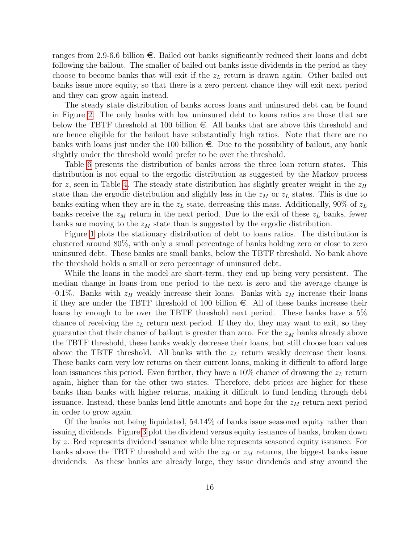ranges from 2.9-6.6 billion  $\epsilon$ . Bailed out banks significantly reduced their loans and debt following the bailout. The smaller of bailed out banks issue dividends in the period as they choose to become banks that will exit if the  $z_L$  return is drawn again. Other bailed out banks issue more equity, so that there is a zero percent chance they will exit next period and they can grow again instead.

The steady state distribution of banks across loans and uninsured debt can be found in Figure [2.](#page-28-0) The only banks with low uninsured debt to loans ratios are those that are below the TBTF threshold at 100 billion  $\epsilon$ . All banks that are above this threshold and are hence eligible for the bailout have substantially high ratios. Note that there are no banks with loans just under the 100 billion  $\epsilon$ . Due to the possibility of bailout, any bank slightly under the threshold would prefer to be over the threshold.

Table [6](#page-26-2) presents the distribution of banks across the three loan return states. This distribution is not equal to the ergodic distribution as suggested by the Markov process for z, seen in Table [4.](#page-26-3) The steady state distribution has slightly greater weight in the  $z_H$ state than the ergodic distribution and slightly less in the  $z_M$  or  $z_L$  states. This is due to banks exiting when they are in the  $z<sub>L</sub>$  state, decreasing this mass. Additionally, 90% of  $z<sub>L</sub>$ banks receive the  $z_M$  return in the next period. Due to the exit of these  $z_L$  banks, fewer banks are moving to the  $z_M$  state than is suggested by the ergodic distribution.

Figure [1](#page-27-0) plots the stationary distribution of debt to loans ratios. The distribution is clustered around 80%, with only a small percentage of banks holding zero or close to zero uninsured debt. These banks are small banks, below the TBTF threshold. No bank above the threshold holds a small or zero percentage of uninsured debt.

While the loans in the model are short-term, they end up being very persistent. The median change in loans from one period to the next is zero and the average change is -0.1%. Banks with  $z_H$  weakly increase their loans. Banks with  $z_M$  increase their loans if they are under the TBTF threshold of 100 billion  $\epsilon$ . All of these banks increase their loans by enough to be over the TBTF threshold next period. These banks have a 5% chance of receiving the  $z_L$  return next period. If they do, they may want to exit, so they guarantee that their chance of bailout is greater than zero. For the  $z_M$  banks already above the TBTF threshold, these banks weakly decrease their loans, but still choose loan values above the TBTF threshold. All banks with the  $z_L$  return weakly decrease their loans. These banks earn very low returns on their current loans, making it difficult to afford large loan issuances this period. Even further, they have a  $10\%$  chance of drawing the  $z<sub>L</sub>$  return again, higher than for the other two states. Therefore, debt prices are higher for these banks than banks with higher returns, making it difficult to fund lending through debt issuance. Instead, these banks lend little amounts and hope for the  $z_M$  return next period in order to grow again.

Of the banks not being liquidated, 54.14% of banks issue seasoned equity rather than issuing dividends. Figure [3](#page-29-0) plot the dividend versus equity issuance of banks, broken down by z. Red represents dividend issuance while blue represents seasoned equity issuance. For banks above the TBTF threshold and with the  $z_H$  or  $z_M$  returns, the biggest banks issue dividends. As these banks are already large, they issue dividends and stay around the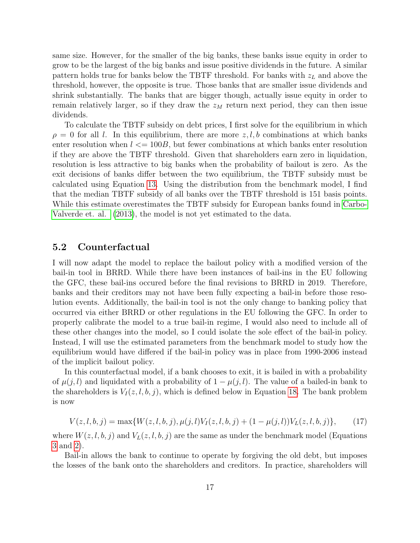same size. However, for the smaller of the big banks, these banks issue equity in order to grow to be the largest of the big banks and issue positive dividends in the future. A similar pattern holds true for banks below the TBTF threshold. For banks with  $z_L$  and above the threshold, however, the opposite is true. Those banks that are smaller issue dividends and shrink substantially. The banks that are bigger though, actually issue equity in order to remain relatively larger, so if they draw the  $z_M$  return next period, they can then issue dividends.

To calculate the TBTF subsidy on debt prices, I first solve for the equilibrium in which  $\rho = 0$  for all l. In this equilibrium, there are more  $z, l, b$  combinations at which banks enter resolution when  $l \leq 100B$ , but fewer combinations at which banks enter resolution if they are above the TBTF threshold. Given that shareholders earn zero in liquidation, resolution is less attractive to big banks when the probability of bailout is zero. As the exit decisions of banks differ between the two equilibrium, the TBTF subsidy must be calculated using Equation [13.](#page-12-1) Using the distribution from the benchmark model, I find that the median TBTF subsidy of all banks over the TBTF threshold is 151 basis points. While this estimate overestimates the TBTF subsidy for European banks found in [Carbo-](#page-24-9)[Valverde et. al. \(2013\)](#page-24-9), the model is not yet estimated to the data.

#### 5.2 Counterfactual

I will now adapt the model to replace the bailout policy with a modified version of the bail-in tool in BRRD. While there have been instances of bail-ins in the EU following the GFC, these bail-ins occured before the final revisions to BRRD in 2019. Therefore, banks and their creditors may not have been fully expecting a bail-in before those resolution events. Additionally, the bail-in tool is not the only change to banking policy that occurred via either BRRD or other regulations in the EU following the GFC. In order to properly calibrate the model to a true bail-in regime, I would also need to include all of these other changes into the model, so I could isolate the sole effect of the bail-in policy. Instead, I will use the estimated parameters from the benchmark model to study how the equilibrium would have differed if the bail-in policy was in place from 1990-2006 instead of the implicit bailout policy.

In this counterfactual model, if a bank chooses to exit, it is bailed in with a probability of  $\mu(j, l)$  and liquidated with a probability of  $1 - \mu(j, l)$ . The value of a bailed-in bank to the shareholders is  $V_I(z, l, b, j)$ , which is defined below in Equation [18.](#page-18-0) The bank problem is now

$$
V(z, l, b, j) = \max\{W(z, l, b, j), \mu(j, l)V_I(z, l, b, j) + (1 - \mu(j, l))V_L(z, l, b, j)\},\tag{17}
$$

where  $W(z, l, b, j)$  and  $V<sub>L</sub>(z, l, b, j)$  are the same as under the benchmark model (Equations [3](#page-7-0) and [2\)](#page-7-1).

Bail-in allows the bank to continue to operate by forgiving the old debt, but imposes the losses of the bank onto the shareholders and creditors. In practice, shareholders will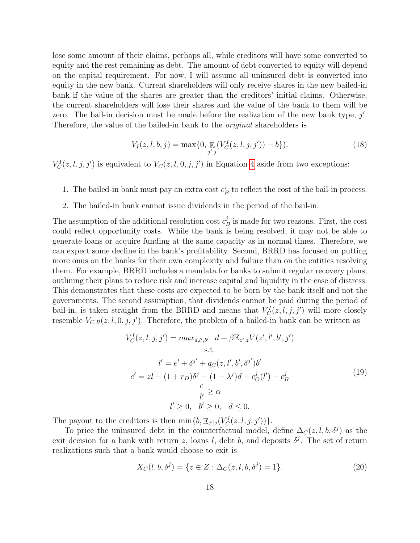lose some amount of their claims, perhaps all, while creditors will have some converted to equity and the rest remaining as debt. The amount of debt converted to equity will depend on the capital requirement. For now, I will assume all uninsured debt is converted into equity in the new bank. Current shareholders will only receive shares in the new bailed-in bank if the value of the shares are greater than the creditors' initial claims. Otherwise, the current shareholders will lose their shares and the value of the bank to them will be zero. The bail-in decision must be made before the realization of the new bank type,  $j'$ . Therefore, the value of the bailed-in bank to the original shareholders is

<span id="page-18-0"></span>
$$
V_I(z, l, b, j) = \max\{0, \mathop{\mathbb{E}}_{j'|j} (V_C^I(z, l, j, j')) - b\}).
$$
\n(18)

 $V_C^I(z, l, j, j')$  is equivalent to  $V_C(z, l, 0, j, j')$  in Equation [4](#page-8-0) aside from two exceptions:

- 1. The bailed-in bank must pay an extra cost  $c_l^j$  $B_B^j$  to reflect the cost of the bail-in process.
- 2. The bailed-in bank cannot issue dividends in the period of the bail-in.

The assumption of the additional resolution cost  $c_l^j$  $B_B^j$  is made for two reasons. First, the cost could reflect opportunity costs. While the bank is being resolved, it may not be able to generate loans or acquire funding at the same capacity as in normal times. Therefore, we can expect some decline in the bank's profitability. Second, BRRD has focused on putting more onus on the banks for their own complexity and failure than on the entities resolving them. For example, BRRD includes a mandata for banks to submit regular recovery plans, outlining their plans to reduce risk and increase capital and liquidity in the case of distress. This demonstrates that these costs are expected to be born by the bank itself and not the governments. The second assumption, that dividends cannot be paid during the period of bail-in, is taken straight from the BRRD and means that  $V_C^I(z, l, j, j')$  will more closely resemble  $V_{C,R}(z, l, 0, j, j')$ . Therefore, the problem of a bailed-in bank can be written as

$$
V_C^I(z, l, j, j') = max_{d,l',b'} d + \beta \mathbb{E}_{z'|z} V(z', l', b', j')
$$
  
s.t.  

$$
l' = e' + \delta^{j'} + q_C(z, l', b', \delta^{j'})b'
$$

$$
e' = zl - (1 + r_D)\delta^j - (1 - \lambda^j)d - c_O^j(l') - c_B^j
$$

$$
\frac{e}{l'} \ge \alpha
$$

$$
l' \ge 0, \quad b' \ge 0, \quad d \le 0.
$$

$$
(19)
$$

The payout to the creditors is then  $\min\{b, \mathbb{E}_{j'|j}(V_C^I(z, l, j, j'))\}.$ 

To price the uninsured debt in the counterfactual model, define  $\Delta_C(z, l, b, \delta^j)$  as the exit decision for a bank with return z, loans l, debt b, and deposits  $\delta^j$ . The set of return realizations such that a bank would choose to exit is

$$
X_C(l, b, \delta^j) = \{ z \in Z : \Delta_C(z, l, b, \delta^j) = 1 \}.
$$
\n(20)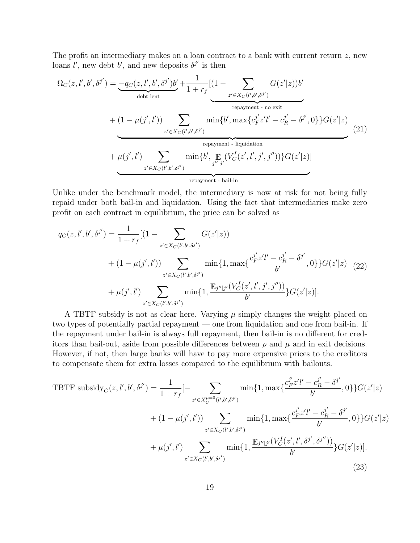The profit an intermediary makes on a loan contract to a bank with current return z, new loans  $l'$ , new debt b', and new deposits  $\delta^{j'}$  is then

$$
\Omega_C(z, l', b', \delta^{j'}) = \underbrace{-q_C(z, l', b', \delta^{j'})b'}_{\text{debt lent}} + \underbrace{1 + r_f}_{z' \in X_C(l', b', \delta^{j'})} \underbrace{(1 - \sum_{z' \in X_C(l', b', \delta^{j'})} G(z'|z))b'}_{\text{repayment - no exit}} + (1 - \mu(j', l')) \sum_{z' \in X_C(l', b', \delta^{j'})} \min\{b', \max\{c_F^{j'} z'l' - c_R^{j'} - \delta^{j'}, 0\}\} G(z'|z)
$$
\n
$$
+ \mu(j', l') \sum_{z' \in X_C(l', b', \delta^{j'})} \min\{b', \mathbb{E}_{j''|j'} (V_C^I(z', l', j', j''))\} G(z'|z)]
$$
\n
$$
\underbrace{(21)}
$$
\n
$$
\underbrace{E_{z \in C(l', b', \delta^{j'})} \min\{b', \mathbb{E}_{j''|j'} (V_C^I(z', l', j', j''))\} G(z'|z)]}_{\text{repayment - bail-in}}
$$

Unlike under the benchmark model, the intermediary is now at risk for not being fully repaid under both bail-in and liquidation. Using the fact that intermediaries make zero profit on each contract in equilibrium, the price can be solved as

$$
q_C(z, l', b', \delta^{j'}) = \frac{1}{1 + r_f} [(1 - \sum_{z' \in X_C(l', b', \delta^{j'})} G(z'|z))
$$
  
+ 
$$
(1 - \mu(j', l')) \sum_{z' \in X_C(l', b', \delta^{j'})} \min\{1, \max\{\frac{c_F^{j'} z'l' - c_R^{j'} - \delta^{j'}}{b'}, 0\}\} G(z'|z) \quad (22)
$$
  
+ 
$$
\mu(j', l') \sum_{z' \in X_C(l', b', \delta^{j'})} \min\{1, \frac{\mathbb{E}_{j''|j'}(V_C^I(z', l', j', j''))}{b'}\} G(z'|z)].
$$

A TBTF subsidy is not as clear here. Varying  $\mu$  simply changes the weight placed on two types of potentially partial repayment — one from liquidation and one from bail-in. If the repayment under bail-in is always full repayment, then bail-in is no different for creditors than bail-out, aside from possible differences between  $\rho$  and  $\mu$  and in exit decisions. However, if not, then large banks will have to pay more expensive prices to the creditors to compensate them for extra losses compared to the equilibrium with bailouts.

TBTF subsidy<sub>C</sub>(z, l', b', \delta<sup>j</sup>) = 
$$
\frac{1}{1 + r_f}
$$
[- $\sum_{z' \in X_C^{u=0}(l',b',\delta^{j'})}$  min{1, max{ $\frac{c_F^{j'} z'l' - c_R^{j'} - \delta^{j'}}{b'}}$ , 0}{ $g$ }G(z'|z)  
+  $(1 - \mu(j', l'))$  $\sum_{z' \in X_C(l',b',\delta^{j'})}$  min{1, max{ $\frac{c_F^{j'} z'l' - c_R^{j'} - \delta^{j'}}{b'}}$ , 0}{G(z'|z)  
+  $\mu(j', l')$  $\sum_{z' \in X_C(l',b',\delta^{j'})}$  min{1,  $\frac{\mathbb{E}_{j''|j'}(V_C^I(z', l', \delta^{j'}, \delta^{j''}))}{b}$ }G(z'|z)]. (23)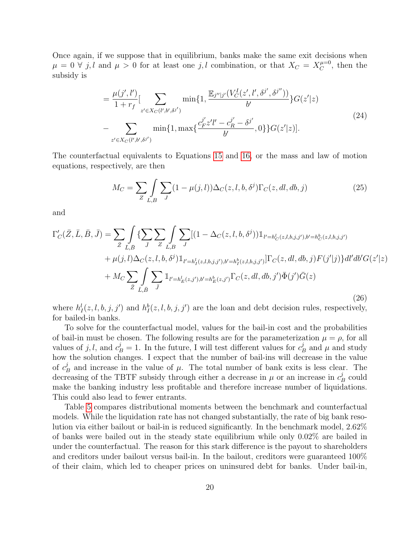Once again, if we suppose that in equilibrium, banks make the same exit decisions when  $\mu = 0 \forall j, l$  and  $\mu > 0$  for at least one j, l combination, or that  $X_C = X_C^{\mu=0}$  $C^{ \mu=0}$ , then the subsidy is

$$
= \frac{\mu(j',l')}{1+r_f} \left[ \sum_{z' \in X_C(l',b',\delta^{j'})} \min\{1, \frac{\mathbb{E}_{j''|j'}(V_C^I(z',l',\delta^{j'},\delta^{j''}))}{b'}\} G(z'|z) - \sum_{z' \in X_C(l',b',\delta^{j'})} \min\{1, \max\{\frac{c_{F}^{j'}z'l' - c_{R}^{j'} - \delta^{j'}}{b'}, 0\}\} G(z'|z)\right].
$$
\n(24)

The counterfactual equivalents to Equations [15](#page-13-1) and [16,](#page-13-0) or the mass and law of motion equations, respectively, are then

$$
M_C = \sum_{Z} \int_{L,B} \sum_{J} (1 - \mu(j,l)) \Delta_C(z,l,b,\delta^j) \Gamma_C(z,dl,db,j)
$$
 (25)

and

$$
\Gamma'_{C}(\bar{Z}, \bar{L}, \bar{B}, \bar{J}) = \sum_{\bar{Z}} \int_{\bar{L}, \bar{B}} \{ \sum_{\bar{J}} \sum_{Z} \int_{L, B} \sum_{J} [(1 - \Delta_{C}(z, l, b, \delta^{j})) \mathbb{1}_{l' = h_{C}^{l}(z, l, b, j, j'), b' = h_{C}^{b}(z, l, b, j, j')} + \mu(j, l) \Delta_{C}(z, l, b, \delta^{j}) \mathbb{1}_{l' = h_{I}^{l}(z, l, b, j, j'), b' = h_{I}^{b}(z, l, b, j, j')} ] \Gamma_{C}(z, dl, db, j) F(j'|j) \} dl' db' G(z'|z) + M_{C} \sum_{\bar{Z}} \int_{\bar{L}, \bar{B}} \sum_{\bar{J}} \mathbb{1}_{l' = h_{E}^{l}(z, j'), b' = h_{E}^{b}(z, j')} \Gamma_{C}(z, dl, db, j') \bar{\Phi}(j') \bar{G}(z)
$$
\n(26)

where  $h_1^l(z, l, b, j, j')$  and  $h_1^b(z, l, b, j, j')$  are the loan and debt decision rules, respectively, for bailed-in banks.

To solve for the counterfactual model, values for the bail-in cost and the probabilities of bail-in must be chosen. The following results are for the parameterization  $\mu = \rho$ , for all values of j, l, and  $c_B^j = 1$ . In the future, I will test different values for  $c_I^j$  $\frac{\partial}{\partial B}$  and  $\mu$  and study how the solution changes. I expect that the number of bail-ins will decrease in the value of  $c_l^j$  $\mu_B^j$  and increase in the value of  $\mu$ . The total number of bank exits is less clear. The decreasing of the TBTF subsidy through either a decrease in  $\mu$  or an increase in  $c_I^j$  $B$  could make the banking industry less profitable and therefore increase number of liquidations. This could also lead to fewer entrants.

Table [5](#page-26-1) compares distributional moments between the benchmark and counterfactual models. While the liquidation rate has not changed substantially, the rate of big bank resolution via either bailout or bail-in is reduced significantly. In the benchmark model, 2.62% of banks were bailed out in the steady state equilibrium while only 0.02% are bailed in under the counterfactual. The reason for this stark difference is the payout to shareholders and creditors under bailout versus bail-in. In the bailout, creditors were guaranteed 100% of their claim, which led to cheaper prices on uninsured debt for banks. Under bail-in,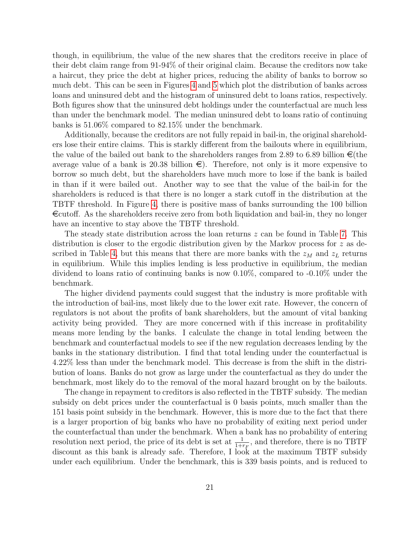though, in equilibrium, the value of the new shares that the creditors receive in place of their debt claim range from 91-94% of their original claim. Because the creditors now take a haircut, they price the debt at higher prices, reducing the ability of banks to borrow so much debt. This can be seen in Figures [4](#page-30-0) and [5](#page-31-0) which plot the distribution of banks across loans and uninsured debt and the histogram of uninsured debt to loans ratios, respectively. Both figures show that the uninsured debt holdings under the counterfactual are much less than under the benchmark model. The median uninsured debt to loans ratio of continuing banks is 51.06% compared to 82.15% under the benchmark.

Additionally, because the creditors are not fully repaid in bail-in, the original shareholders lose their entire claims. This is starkly different from the bailouts where in equilibrium, the value of the bailed out bank to the shareholders ranges from 2.89 to 6.89 billion  $\epsilon$  (the average value of a bank is 20.38 billion  $\epsilon$ ). Therefore, not only is it more expensive to borrow so much debt, but the shareholders have much more to lose if the bank is bailed in than if it were bailed out. Another way to see that the value of the bail-in for the shareholders is reduced is that there is no longer a stark cutoff in the distribution at the TBTF threshold. In Figure [4,](#page-30-0) there is positive mass of banks surrounding the 100 billion  $\epsilon$  ecutoff. As the shareholders receive zero from both liquidation and bail-in, they no longer have an incentive to stay above the TBTF threshold.

The steady state distribution across the loan returns  $z$  can be found in Table [7.](#page-26-4) This distribution is closer to the ergodic distribution given by the Markov process for z as de-scribed in Table [4,](#page-26-3) but this means that there are more banks with the  $z_M$  and  $z_L$  returns in equilibrium. While this implies lending is less productive in equilibrium, the median dividend to loans ratio of continuing banks is now 0.10%, compared to -0.10% under the benchmark.

The higher dividend payments could suggest that the industry is more profitable with the introduction of bail-ins, most likely due to the lower exit rate. However, the concern of regulators is not about the profits of bank shareholders, but the amount of vital banking activity being provided. They are more concerned with if this increase in profitability means more lending by the banks. I calculate the change in total lending between the benchmark and counterfactual models to see if the new regulation decreases lending by the banks in the stationary distribution. I find that total lending under the counterfactual is 4.22% less than under the benchmark model. This decrease is from the shift in the distribution of loans. Banks do not grow as large under the counterfactual as they do under the benchmark, most likely do to the removal of the moral hazard brought on by the bailouts.

The change in repayment to creditors is also reflected in the TBTF subsidy. The median subsidy on debt prices under the counterfactual is 0 basis points, much smaller than the 151 basis point subsidy in the benchmark. However, this is more due to the fact that there is a larger proportion of big banks who have no probability of exiting next period under the counterfactual than under the benchmark. When a bank has no probability of entering resolution next period, the price of its debt is set at  $\frac{1}{1+r_F}$ , and therefore, there is no TBTF discount as this bank is already safe. Therefore, I look at the maximum TBTF subsidy under each equilibrium. Under the benchmark, this is 339 basis points, and is reduced to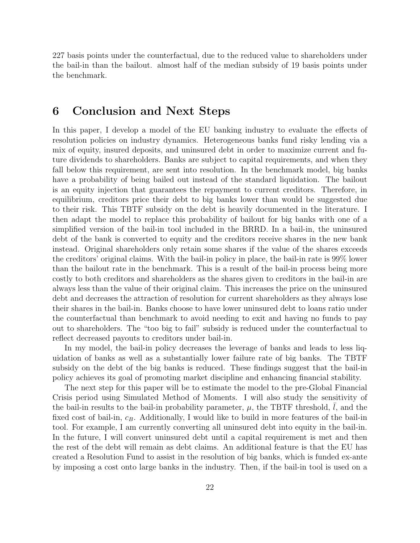227 basis points under the counterfactual, due to the reduced value to shareholders under the bail-in than the bailout. almost half of the median subsidy of 19 basis points under the benchmark.

### <span id="page-22-0"></span>6 Conclusion and Next Steps

In this paper, I develop a model of the EU banking industry to evaluate the effects of resolution policies on industry dynamics. Heterogeneous banks fund risky lending via a mix of equity, insured deposits, and uninsured debt in order to maximize current and future dividends to shareholders. Banks are subject to capital requirements, and when they fall below this requirement, are sent into resolution. In the benchmark model, big banks have a probability of being bailed out instead of the standard liquidation. The bailout is an equity injection that guarantees the repayment to current creditors. Therefore, in equilibrium, creditors price their debt to big banks lower than would be suggested due to their risk. This TBTF subsidy on the debt is heavily documented in the literature. I then adapt the model to replace this probability of bailout for big banks with one of a simplified version of the bail-in tool included in the BRRD. In a bail-in, the uninsured debt of the bank is converted to equity and the creditors receive shares in the new bank instead. Original shareholders only retain some shares if the value of the shares exceeds the creditors' original claims. With the bail-in policy in place, the bail-in rate is 99% lower than the bailout rate in the benchmark. This is a result of the bail-in process being more costly to both creditors and shareholders as the shares given to creditors in the bail-in are always less than the value of their original claim. This increases the price on the uninsured debt and decreases the attraction of resolution for current shareholders as they always lose their shares in the bail-in. Banks choose to have lower uninsured debt to loans ratio under the counterfactual than benchmark to avoid needing to exit and having no funds to pay out to shareholders. The "too big to fail" subsidy is reduced under the counterfactual to reflect decreased payouts to creditors under bail-in.

In my model, the bail-in policy decreases the leverage of banks and leads to less liquidation of banks as well as a substantially lower failure rate of big banks. The TBTF subsidy on the debt of the big banks is reduced. These findings suggest that the bail-in policy achieves its goal of promoting market discipline and enhancing financial stability.

The next step for this paper will be to estimate the model to the pre-Global Financial Crisis period using Simulated Method of Moments. I will also study the sensitivity of the bail-in results to the bail-in probability parameter,  $\mu$ , the TBTF threshold,  $l$ , and the fixed cost of bail-in,  $c_B$ . Additionally, I would like to build in more features of the bail-in tool. For example, I am currently converting all uninsured debt into equity in the bail-in. In the future, I will convert uninsured debt until a capital requirement is met and then the rest of the debt will remain as debt claims. An additional feature is that the EU has created a Resolution Fund to assist in the resolution of big banks, which is funded ex-ante by imposing a cost onto large banks in the industry. Then, if the bail-in tool is used on a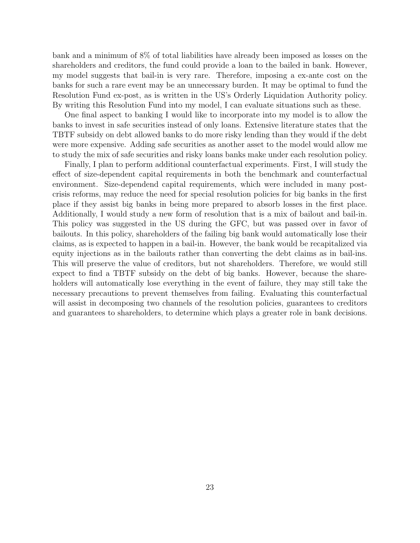bank and a minimum of 8% of total liabilities have already been imposed as losses on the shareholders and creditors, the fund could provide a loan to the bailed in bank. However, my model suggests that bail-in is very rare. Therefore, imposing a ex-ante cost on the banks for such a rare event may be an unnecessary burden. It may be optimal to fund the Resolution Fund ex-post, as is written in the US's Orderly Liquidation Authority policy. By writing this Resolution Fund into my model, I can evaluate situations such as these.

One final aspect to banking I would like to incorporate into my model is to allow the banks to invest in safe securities instead of only loans. Extensive literature states that the TBTF subsidy on debt allowed banks to do more risky lending than they would if the debt were more expensive. Adding safe securities as another asset to the model would allow me to study the mix of safe securities and risky loans banks make under each resolution policy.

Finally, I plan to perform additional counterfactual experiments. First, I will study the effect of size-dependent capital requirements in both the benchmark and counterfactual environment. Size-dependend capital requirements, which were included in many postcrisis reforms, may reduce the need for special resolution policies for big banks in the first place if they assist big banks in being more prepared to absorb losses in the first place. Additionally, I would study a new form of resolution that is a mix of bailout and bail-in. This policy was suggested in the US during the GFC, but was passed over in favor of bailouts. In this policy, shareholders of the failing big bank would automatically lose their claims, as is expected to happen in a bail-in. However, the bank would be recapitalized via equity injections as in the bailouts rather than converting the debt claims as in bail-ins. This will preserve the value of creditors, but not shareholders. Therefore, we would still expect to find a TBTF subsidy on the debt of big banks. However, because the shareholders will automatically lose everything in the event of failure, they may still take the necessary precautions to prevent themselves from failing. Evaluating this counterfactual will assist in decomposing two channels of the resolution policies, guarantees to creditors and guarantees to shareholders, to determine which plays a greater role in bank decisions.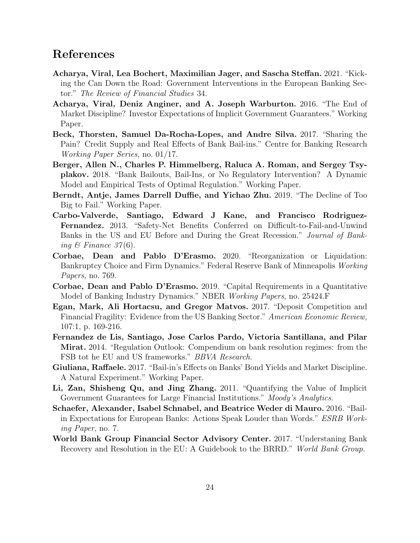# References

- <span id="page-24-8"></span>Acharya, Viral, Lea Bochert, Maximilian Jager, and Sascha Steffan. 2021. "Kicking the Can Down the Road: Government Interventions in the European Banking Sector." The Review of Financial Studies 34.
- <span id="page-24-13"></span>Acharya, Viral, Deniz Anginer, and A. Joseph Warburton. 2016. "The End of Market Discipline? Investor Expectations of Implicit Government Guarantees." Working Paper.
- <span id="page-24-5"></span>Beck, Thorsten, Samuel Da-Rocha-Lopes, and Andre Silva. 2017. "Sharing the Pain? Credit Supply and Real Effects of Bank Bail-ins." Centre for Banking Research Working Paper Series, no. 01/17.
- <span id="page-24-0"></span>Berger, Allen N., Charles P. Himmelberg, Raluca A. Roman, and Sergey Tsyplakov. 2018. "Bank Bailouts, Bail-Ins, or No Regulatory Intervention? A Dynamic Model and Empirical Tests of Optimal Regulation." Working Paper.
- <span id="page-24-4"></span>Berndt, Antje, James Darrell Duffie, and Yichao Zhu. 2019. "The Decline of Too Big to Fail." Working Paper.
- <span id="page-24-9"></span>Carbo-Valverde, Santiago, Edward J Kane, and Francisco Rodriguez-Fernandez. 2013. "Safety-Net Benefits Conferred on Difficult-to-Fail-and-Unwind Banks in the US and EU Before and During the Great Recession." Journal of Banking  $\mathcal{B}$  Finance 37(6).
- <span id="page-24-1"></span>Corbae, Dean and Pablo D'Erasmo. 2020. "Reorganization or Liquidation: Bankruptcy Choice and Firm Dynamics." Federal Reserve Bank of Minneapolis Working Papers, no. 769.
- <span id="page-24-6"></span>Corbae, Dean and Pablo D'Erasmo. 2019. "Capital Requirements in a Quantitative Model of Banking Industry Dynamics." NBER Working Papers, no. 25424.F
- <span id="page-24-7"></span>Egan, Mark, Ali Hortacsu, and Gregor Matvos. 2017. "Deposit Competition and Financial Fragility: Evidence from the US Banking Sector." American Economic Review, 107:1, p. 169-216.
- <span id="page-24-11"></span>Fernandez de Lis, Santiago, Jose Carlos Pardo, Victoria Santillana, and Pilar Mirat. 2014. "Regulation Outlook: Compendium on bank resolution regimes: from the FSB tot he EU and US frameworks." BBVA Research.
- <span id="page-24-3"></span>Giuliana, Raffaele. 2017. "Bail-in's Effects on Banks' Bond Yields and Market Discipline. A Natural Experiment." Working Paper.
- <span id="page-24-10"></span>Li, Zan, Shisheng Qu, and Jing Zhang. 2011. "Quantifying the Value of Implicit Government Guarantees for Large Financial Institutions." Moody's Analytics.
- <span id="page-24-2"></span>Schaefer, Alexander, Isabel Schnabel, and Beatrice Weder di Mauro. 2016. "Bailin Expectations for European Banks: Actions Speak Louder than Words." ESRB Working Paper, no. 7.
- <span id="page-24-12"></span>World Bank Group Financial Sector Advisory Center. 2017. "Understaning Bank Recovery and Resolution in the EU: A Guidebook to the BRRD." World Bank Group.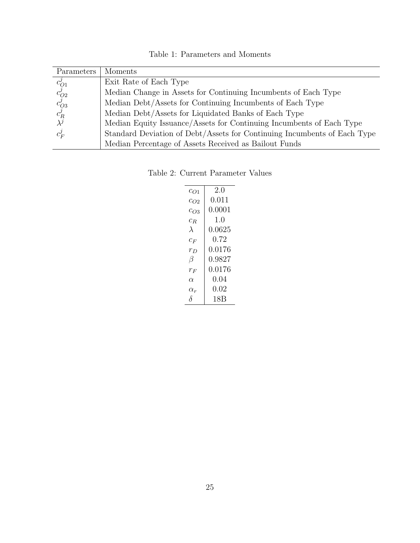| Table 1: Parameters and Moments |  |  |
|---------------------------------|--|--|
|---------------------------------|--|--|

<span id="page-25-0"></span>

| Parameters                               | Moments                                                                  |
|------------------------------------------|--------------------------------------------------------------------------|
|                                          | Exit Rate of Each Type                                                   |
| $c_{O1}^j \ c_{O2}^j \ c_{O3}^j \ c_R^j$ | Median Change in Assets for Continuing Incumbents of Each Type           |
|                                          | Median Debt/Assets for Continuing Incumbents of Each Type                |
|                                          | Median Debt/Assets for Liquidated Banks of Each Type                     |
|                                          | Median Equity Issuance/Assets for Continuing Incumbents of Each Type     |
| $c_F'$                                   | Standard Deviation of Debt/Assets for Continuing Incumbents of Each Type |
|                                          | Median Percentage of Assets Received as Bailout Funds                    |

<span id="page-25-1"></span>Table 2: Current Parameter Values

| $c_{O1}$   | 20     |
|------------|--------|
| $c_{O2}$   | 0.011  |
| $c_{O3}$   | 0.0001 |
| $c_R$      | 1(0)   |
| $\lambda$  | 0.0625 |
| $c_F$      | 0.72   |
| $r_D$      | 0.0176 |
| β          | 0.9827 |
| $r_F$      | 0.0176 |
| $\alpha$   | 0.04   |
| $\alpha_r$ | 0.02   |
| λ          | 18B    |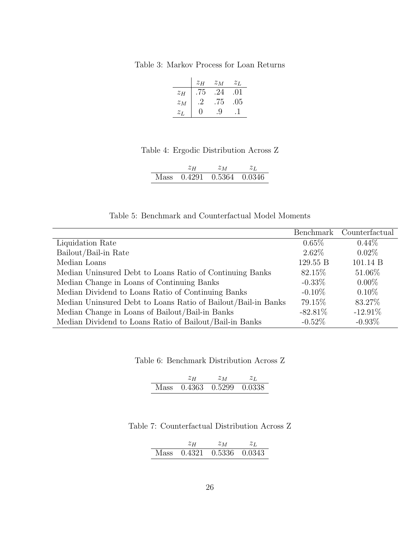<span id="page-26-0"></span>Table 3: Markov Process for Loan Returns

|       | $z_H$ | $z_M$ | $z_L$ |
|-------|-------|-------|-------|
| $z_H$ | .75   | .24   | .01   |
| $z_M$ | .2    | .75   | .05   |
| $z_L$ | 0     | 9.    |       |

### Table 4: Ergodic Distribution Across Z

|  | $z_M$                     |  |
|--|---------------------------|--|
|  | Mass 0.4291 0.5364 0.0346 |  |

#### Table 5: Benchmark and Counterfactual Model Moments

<span id="page-26-3"></span><span id="page-26-1"></span>

|                                                               | Benchmark  | Counterfactual |
|---------------------------------------------------------------|------------|----------------|
| Liquidation Rate                                              | $0.65\%$   | $0.44\%$       |
| Bailout/Bail-in Rate                                          | $2.62\%$   | $0.02\%$       |
| Median Loans                                                  | 129.55 B   | 101.14 B       |
| Median Uninsured Debt to Loans Ratio of Continuing Banks      | 82.15\%    | 51.06%         |
| Median Change in Loans of Continuing Banks                    | $-0.33\%$  | $0.00\%$       |
| Median Dividend to Loans Ratio of Continuing Banks            | $-0.10\%$  | $0.10\%$       |
| Median Uninsured Debt to Loans Ratio of Bailout/Bail-in Banks | 79.15\%    | 83.27%         |
| Median Change in Loans of Bailout/Bail-in Banks               | $-82.81\%$ | $-12.91%$      |
| Median Dividend to Loans Ratio of Bailout/Bail-in Banks       | $-0.52\%$  | $-0.93\%$      |

<span id="page-26-2"></span>Table 6: Benchmark Distribution Across Z

| zн | $z_M$                     | Zτ |
|----|---------------------------|----|
|    | Mass 0.4363 0.5299 0.0338 |    |

#### <span id="page-26-4"></span>Table 7: Counterfactual Distribution Across Z

|  | Σм                        |  |
|--|---------------------------|--|
|  | Mass 0.4321 0.5336 0.0343 |  |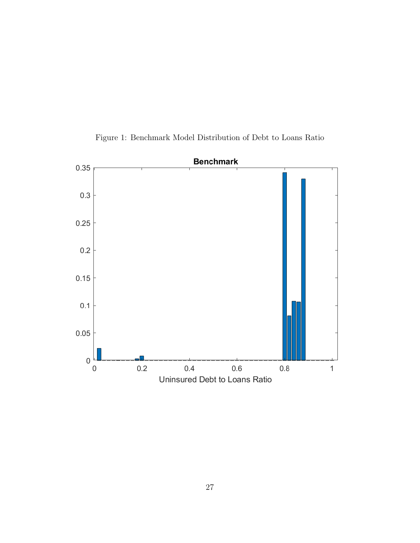<span id="page-27-0"></span>

Figure 1: Benchmark Model Distribution of Debt to Loans Ratio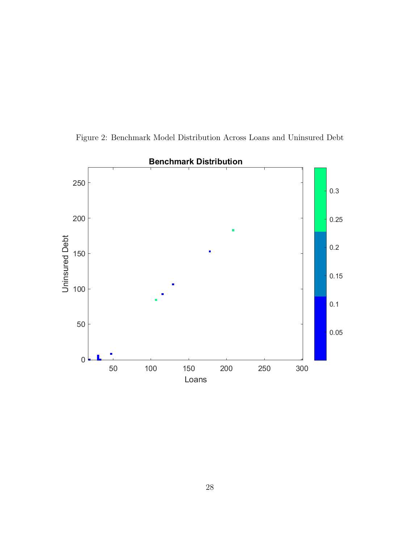<span id="page-28-0"></span>

Figure 2: Benchmark Model Distribution Across Loans and Uninsured Debt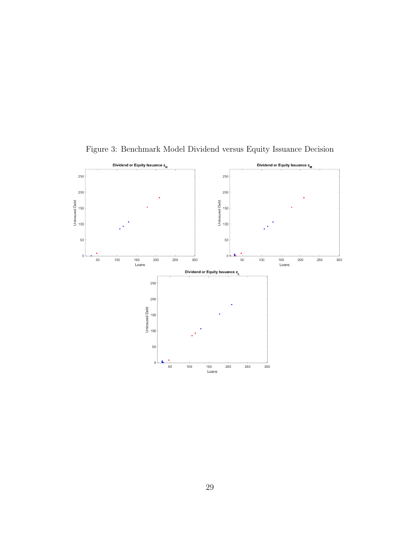<span id="page-29-0"></span>

Figure 3: Benchmark Model Dividend versus Equity Issuance Decision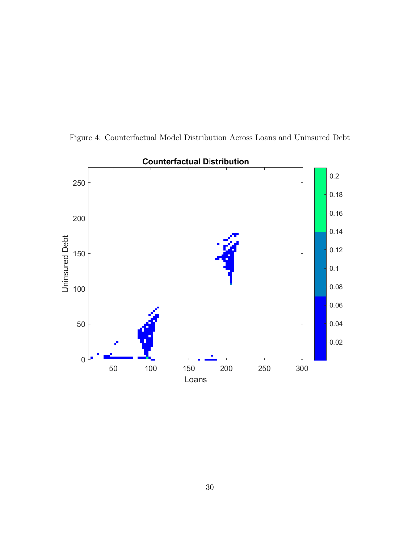

<span id="page-30-0"></span>Figure 4: Counterfactual Model Distribution Across Loans and Uninsured Debt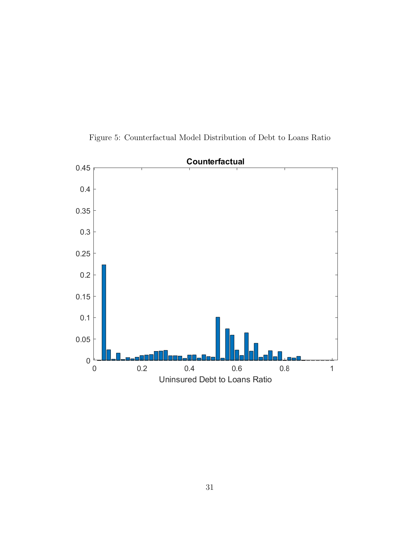<span id="page-31-0"></span>

Figure 5: Counterfactual Model Distribution of Debt to Loans Ratio